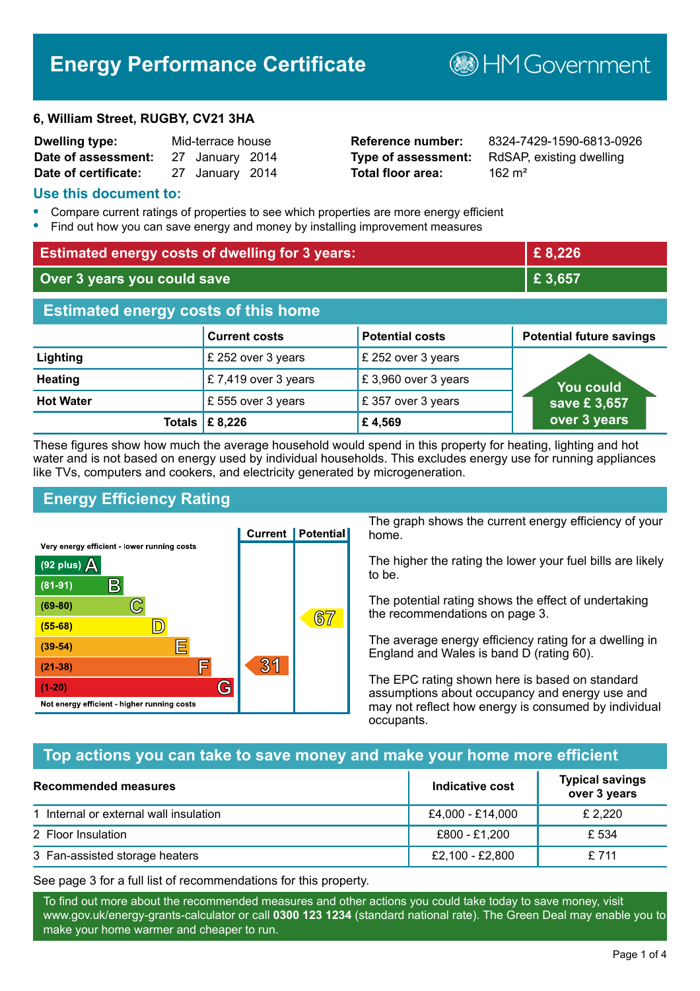# **Energy Performance Certificate**

#### **6, William Street, RUGBY, CV21 3HA**

| <b>Dwelling type:</b> | Mid-terrace house |  |
|-----------------------|-------------------|--|
| Date of assessment:   | 27 January 2014   |  |
| Date of certificate:  | 27 January 2014   |  |

# **Total floor area:** 2016 162 m<sup>2</sup>

**Reference number:** 8324-7429-1590-6813-0926 **Type of assessment:** RdSAP, existing dwelling

**B**HM Government

#### **Use this document to:**

- **•** Compare current ratings of properties to see which properties are more energy efficient
- **•** Find out how you can save energy and money by installing improvement measures

| <b>Estimated energy costs of dwelling for 3 years:</b> |                      | £8,226                 |                                 |
|--------------------------------------------------------|----------------------|------------------------|---------------------------------|
| Over 3 years you could save                            |                      | £ 3,657                |                                 |
| <b>Estimated energy costs of this home</b>             |                      |                        |                                 |
|                                                        | <b>Current costs</b> | <b>Potential costs</b> | <b>Potential future savings</b> |
| Lighting                                               | £ 252 over 3 years   | £ 252 over 3 years     |                                 |
| <b>Heating</b>                                         | £7,419 over 3 years  | £3,960 over 3 years    | You could                       |
| <b>Hot Water</b>                                       | £555 over 3 years    | £357 over 3 years      | save £3,657                     |
| <b>Totals</b>                                          | £ 8,226              | £4,569                 | over 3 years                    |

These figures show how much the average household would spend in this property for heating, lighting and hot water and is not based on energy used by individual households. This excludes energy use for running appliances like TVs, computers and cookers, and electricity generated by microgeneration.

# **Energy Efficiency Rating**



The graph shows the current energy efficiency of your home.

The higher the rating the lower your fuel bills are likely to be.

The potential rating shows the effect of undertaking the recommendations on page 3.

The average energy efficiency rating for a dwelling in England and Wales is band D (rating 60).

The EPC rating shown here is based on standard assumptions about occupancy and energy use and may not reflect how energy is consumed by individual occupants.

# **Top actions you can take to save money and make your home more efficient**

| Recommended measures                   | Indicative cost  | <b>Typical savings</b><br>over 3 years |
|----------------------------------------|------------------|----------------------------------------|
| 1 Internal or external wall insulation | £4,000 - £14,000 | £ 2,220                                |
| 2 Floor Insulation                     | £800 - £1,200    | £ 534                                  |
| 3 Fan-assisted storage heaters         | £2,100 - £2,800  | £ 711                                  |

See page 3 for a full list of recommendations for this property.

To find out more about the recommended measures and other actions you could take today to save money, visit www.gov.uk/energy-grants-calculator or call **0300 123 1234** (standard national rate). The Green Deal may enable you to make your home warmer and cheaper to run.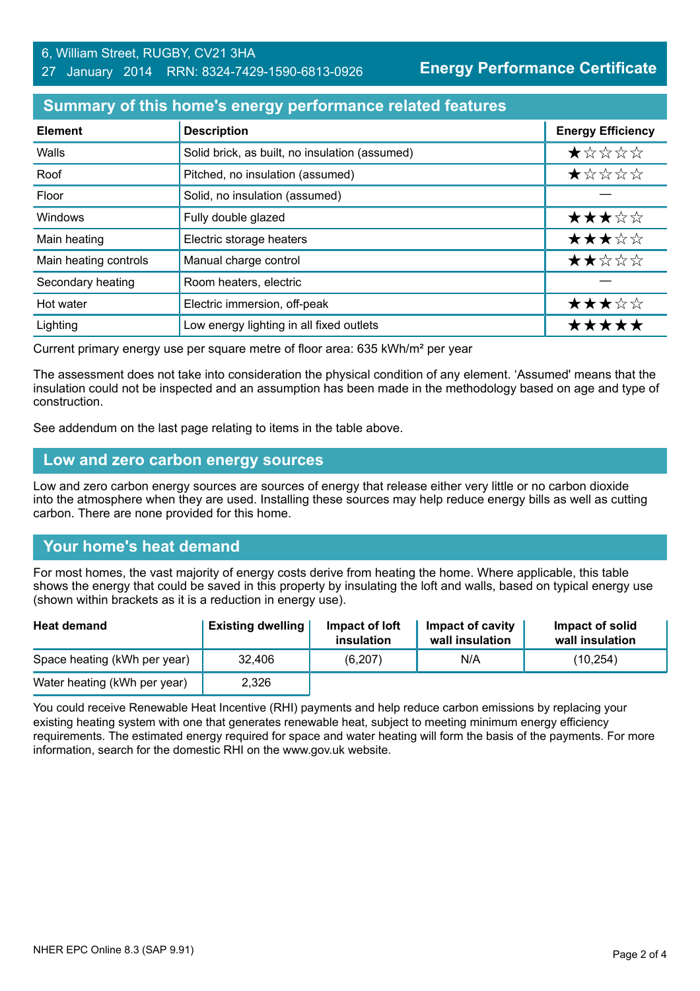# **Summary of this home's energy performance related features**

| <b>Element</b>        | <b>Description</b>                             | <b>Energy Efficiency</b> |
|-----------------------|------------------------------------------------|--------------------------|
| Walls                 | Solid brick, as built, no insulation (assumed) | ★☆☆☆☆                    |
| Roof                  | Pitched, no insulation (assumed)               | ★☆☆☆☆                    |
| Floor                 | Solid, no insulation (assumed)                 |                          |
| Windows               | Fully double glazed                            | ★★★☆☆                    |
| Main heating          | Electric storage heaters                       | ★★★☆☆                    |
| Main heating controls | Manual charge control                          | ★★☆☆☆                    |
| Secondary heating     | Room heaters, electric                         |                          |
| Hot water             | Electric immersion, off-peak                   | ★★★☆☆                    |
| Lighting              | Low energy lighting in all fixed outlets       | *****                    |

Current primary energy use per square metre of floor area: 635 kWh/m² per year

The assessment does not take into consideration the physical condition of any element. 'Assumed' means that the insulation could not be inspected and an assumption has been made in the methodology based on age and type of construction.

See addendum on the last page relating to items in the table above.

#### **Low and zero carbon energy sources**

Low and zero carbon energy sources are sources of energy that release either very little or no carbon dioxide into the atmosphere when they are used. Installing these sources may help reduce energy bills as well as cutting carbon. There are none provided for this home.

# **Your home's heat demand**

For most homes, the vast majority of energy costs derive from heating the home. Where applicable, this table shows the energy that could be saved in this property by insulating the loft and walls, based on typical energy use (shown within brackets as it is a reduction in energy use).

| <b>Heat demand</b>           | <b>Existing dwelling</b> | Impact of loft<br>insulation | Impact of cavity<br>wall insulation | Impact of solid<br>wall insulation |
|------------------------------|--------------------------|------------------------------|-------------------------------------|------------------------------------|
| Space heating (kWh per year) | 32,406                   | (6, 207)                     | N/A                                 | (10,254)                           |
| Water heating (kWh per year) | 2,326                    |                              |                                     |                                    |

You could receive Renewable Heat Incentive (RHI) payments and help reduce carbon emissions by replacing your existing heating system with one that generates renewable heat, subject to meeting minimum energy efficiency requirements. The estimated energy required for space and water heating will form the basis of the payments. For more information, search for the domestic RHI on the www.gov.uk website.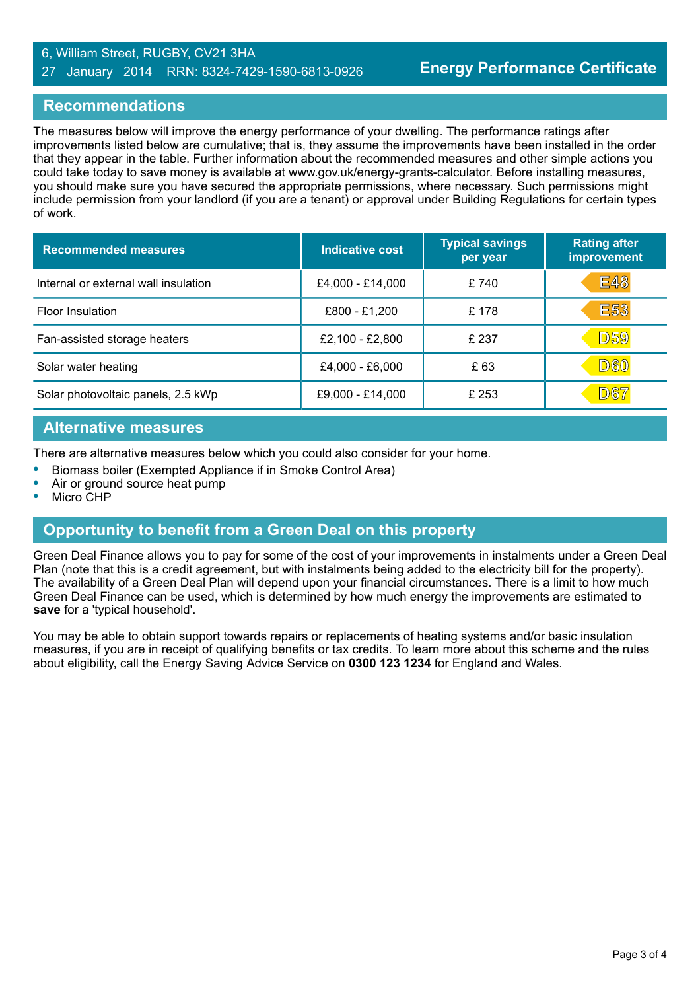#### 6, William Street, RUGBY, CV21 3HA 27 January 2014 RRN: 8324-7429-1590-6813-0926

# **Recommendations**

The measures below will improve the energy performance of your dwelling. The performance ratings after improvements listed below are cumulative; that is, they assume the improvements have been installed in the order that they appear in the table. Further information about the recommended measures and other simple actions you could take today to save money is available at www.gov.uk/energy-grants-calculator. Before installing measures, you should make sure you have secured the appropriate permissions, where necessary. Such permissions might include permission from your landlord (if you are a tenant) or approval under Building Regulations for certain types of work.

| <b>Recommended measures</b>          | Indicative cost  | <b>Typical savings</b><br>per year | <b>Rating after</b><br>improvement |
|--------------------------------------|------------------|------------------------------------|------------------------------------|
| Internal or external wall insulation | £4,000 - £14,000 | £740                               | <b>E48</b>                         |
| <b>Floor Insulation</b>              | £800 - £1,200    | £178                               | <b>E53</b>                         |
| Fan-assisted storage heaters         | £2,100 - £2,800  | £ 237                              | <b>D59</b>                         |
| Solar water heating                  | £4,000 - £6,000  | £ 63                               | <b>D60</b>                         |
| Solar photovoltaic panels, 2.5 kWp   | £9,000 - £14,000 | £ 253                              | D67                                |

# **Alternative measures**

There are alternative measures below which you could also consider for your home.

- **•** Biomass boiler (Exempted Appliance if in Smoke Control Area)
- **•** Air or ground source heat pump
- **•** Micro CHP

# **Opportunity to benefit from a Green Deal on this property**

Green Deal Finance allows you to pay for some of the cost of your improvements in instalments under a Green Deal Plan (note that this is a credit agreement, but with instalments being added to the electricity bill for the property). The availability of a Green Deal Plan will depend upon your financial circumstances. There is a limit to how much Green Deal Finance can be used, which is determined by how much energy the improvements are estimated to **save** for a 'typical household'.

You may be able to obtain support towards repairs or replacements of heating systems and/or basic insulation measures, if you are in receipt of qualifying benefits or tax credits. To learn more about this scheme and the rules about eligibility, call the Energy Saving Advice Service on **0300 123 1234** for England and Wales.